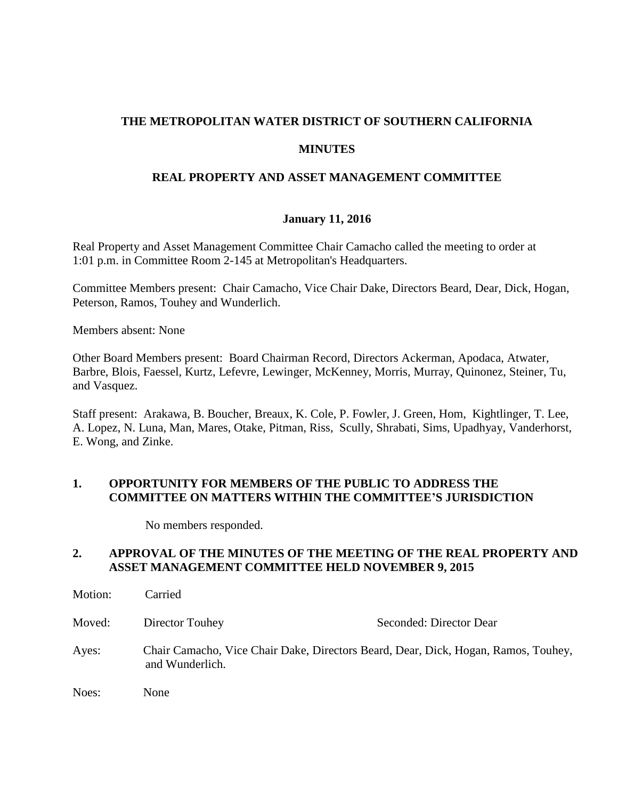# **THE METROPOLITAN WATER DISTRICT OF SOUTHERN CALIFORNIA**

### **MINUTES**

## **REAL PROPERTY AND ASSET MANAGEMENT COMMITTEE**

### **January 11, 2016**

Real Property and Asset Management Committee Chair Camacho called the meeting to order at 1:01 p.m. in Committee Room 2-145 at Metropolitan's Headquarters.

Committee Members present: Chair Camacho, Vice Chair Dake, Directors Beard, Dear, Dick, Hogan, Peterson, Ramos, Touhey and Wunderlich.

Members absent: None

Other Board Members present: Board Chairman Record, Directors Ackerman, Apodaca, Atwater, Barbre, Blois, Faessel, Kurtz, Lefevre, Lewinger, McKenney, Morris, Murray, Quinonez, Steiner, Tu, and Vasquez.

Staff present: Arakawa, B. Boucher, Breaux, K. Cole, P. Fowler, J. Green, Hom, Kightlinger, T. Lee, A. Lopez, N. Luna, Man, Mares, Otake, Pitman, Riss, Scully, Shrabati, Sims, Upadhyay, Vanderhorst, E. Wong, and Zinke.

## **1. OPPORTUNITY FOR MEMBERS OF THE PUBLIC TO ADDRESS THE COMMITTEE ON MATTERS WITHIN THE COMMITTEE'S JURISDICTION**

No members responded.

# **2. APPROVAL OF THE MINUTES OF THE MEETING OF THE REAL PROPERTY AND ASSET MANAGEMENT COMMITTEE HELD NOVEMBER 9, 2015**

| Motion: | Carried                                                                                               |                         |
|---------|-------------------------------------------------------------------------------------------------------|-------------------------|
| Moved:  | Director Touhey                                                                                       | Seconded: Director Dear |
| Ayes:   | Chair Camacho, Vice Chair Dake, Directors Beard, Dear, Dick, Hogan, Ramos, Touhey,<br>and Wunderlich. |                         |
| Noes:   | None                                                                                                  |                         |